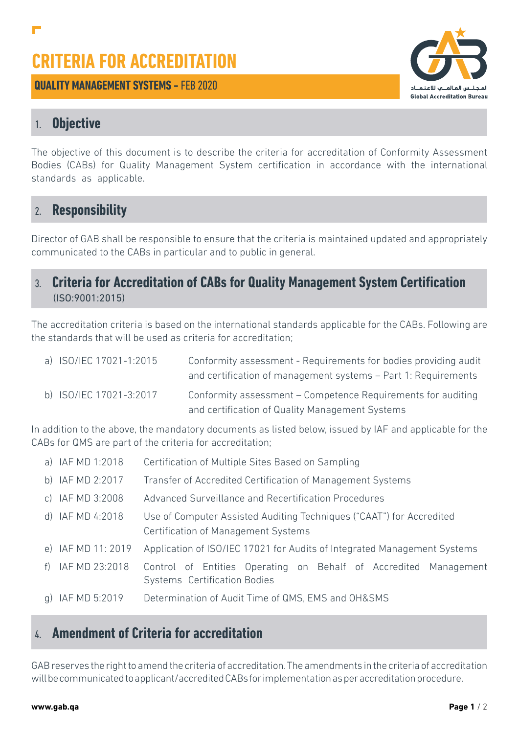# **CRITERIA FOR ACCREDITATION**

**QUALITY MANAGEMENT SYSTEMS - FFB 2020** 



# 1. **Objective**

The objective of this document is to describe the criteria for accreditation of Conformity Assessment Bodies (CABs) for Quality Management System certification in accordance with the international standards as applicable.

## 2. **Responsibility**

Director of GAB shall be responsible to ensure that the criteria is maintained updated and appropriately communicated to the CABs in particular and to public in general.

#### 3. **Criteria for Accreditation of CABs for Quality Management System Certification**  (ISO:9001:2015)

The accreditation criteria is based on the international standards applicable for the CABs. Following are the standards that will be used as criteria for accreditation;

| a) ISO/IEC 17021-1:2015 | Conformity assessment - Requirements for bodies providing audit<br>and certification of management systems – Part 1: Requirements |
|-------------------------|-----------------------------------------------------------------------------------------------------------------------------------|
| b) ISO/IEC 17021-3:2017 | Conformity assessment – Competence Requirements for auditing<br>and certification of Quality Management Systems                   |

In addition to the above, the mandatory documents as listed below, issued by IAF and applicable for the CABs for QMS are part of the criteria for accreditation;

| a) IAF MD 1:2018   | Certification of Multiple Sites Based on Sampling                                                           |
|--------------------|-------------------------------------------------------------------------------------------------------------|
| b) IAF MD 2:2017   | Transfer of Accredited Certification of Management Systems                                                  |
| c) IAF MD 3:2008   | Advanced Surveillance and Recertification Procedures                                                        |
| d) IAF MD 4:2018   | Use of Computer Assisted Auditing Techniques ("CAAT") for Accredited<br>Certification of Management Systems |
| e) IAF MD 11: 2019 | Application of ISO/IEC 17021 for Audits of Integrated Management Systems                                    |
| f) IAF MD 23:2018  | Control of Entities Operating on Behalf of Accredited Management<br>Systems Certification Bodies            |
| g) IAF MD 5:2019   | Determination of Audit Time of QMS, EMS and OH&SMS                                                          |

## 4. **Amendment of Criteria for accreditation**

GAB reserves the right to amend the criteria of accreditation. The amendments in the criteria of accreditation will be communicated to applicant/accredited CABs for implementation as per accreditation procedure.